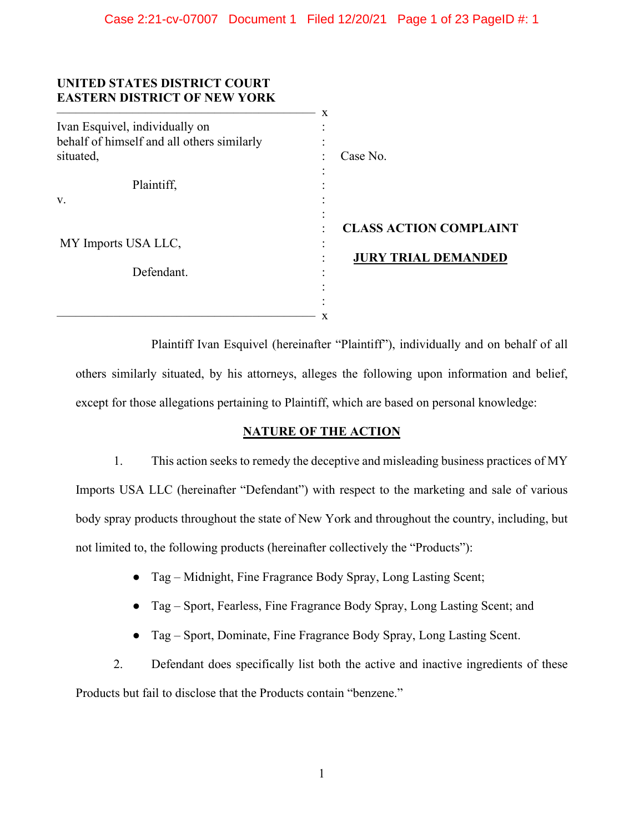| UNITED STATES DISTRICT COURT<br><b>EASTERN DISTRICT OF NEW YORK</b> | X                             |
|---------------------------------------------------------------------|-------------------------------|
| Ivan Esquivel, individually on                                      |                               |
| behalf of himself and all others similarly                          |                               |
| situated,                                                           | Case No.                      |
|                                                                     |                               |
| Plaintiff,                                                          |                               |
| V.                                                                  |                               |
|                                                                     |                               |
|                                                                     | <b>CLASS ACTION COMPLAINT</b> |
| MY Imports USA LLC,                                                 | ٠                             |
|                                                                     | <b>JURY TRIAL DEMANDED</b>    |
| Defendant.                                                          |                               |
|                                                                     |                               |
|                                                                     |                               |
|                                                                     | x                             |

Plaintiff Ivan Esquivel (hereinafter "Plaintiff"), individually and on behalf of all others similarly situated, by his attorneys, alleges the following upon information and belief, except for those allegations pertaining to Plaintiff, which are based on personal knowledge:

# **NATURE OF THE ACTION**

1. This action seeks to remedy the deceptive and misleading business practices of MY Imports USA LLC (hereinafter "Defendant") with respect to the marketing and sale of various body spray products throughout the state of New York and throughout the country, including, but not limited to, the following products (hereinafter collectively the "Products"):

- Tag Midnight, Fine Fragrance Body Spray, Long Lasting Scent;
- Tag Sport, Fearless, Fine Fragrance Body Spray, Long Lasting Scent; and
- Tag Sport, Dominate, Fine Fragrance Body Spray, Long Lasting Scent.

2. Defendant does specifically list both the active and inactive ingredients of these Products but fail to disclose that the Products contain "benzene."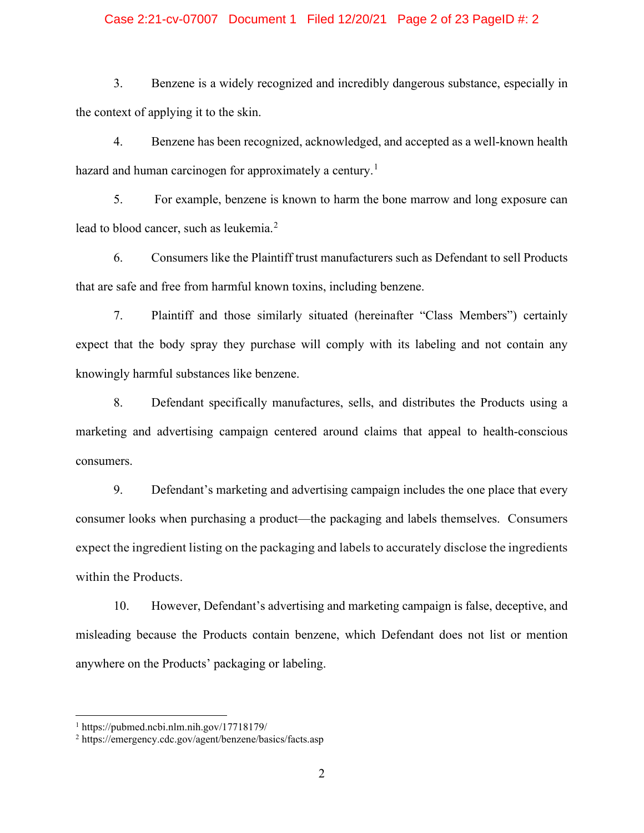#### Case 2:21-cv-07007 Document 1 Filed 12/20/21 Page 2 of 23 PageID #: 2

3. Benzene is a widely recognized and incredibly dangerous substance, especially in the context of applying it to the skin.

4. Benzene has been recognized, acknowledged, and accepted as a well-known health hazard and human carcinogen for approximately a century.<sup>[1](#page-1-0)</sup>

5. For example, benzene is known to harm the bone marrow and long exposure can lead to blood cancer, such as leukemia.<sup>[2](#page-1-1)</sup>

6. Consumers like the Plaintiff trust manufacturers such as Defendant to sell Products that are safe and free from harmful known toxins, including benzene.

7. Plaintiff and those similarly situated (hereinafter "Class Members") certainly expect that the body spray they purchase will comply with its labeling and not contain any knowingly harmful substances like benzene.

8. Defendant specifically manufactures, sells, and distributes the Products using a marketing and advertising campaign centered around claims that appeal to health-conscious consumers.

9. Defendant's marketing and advertising campaign includes the one place that every consumer looks when purchasing a product—the packaging and labels themselves. Consumers expect the ingredient listing on the packaging and labels to accurately disclose the ingredients within the Products.

10. However, Defendant's advertising and marketing campaign is false, deceptive, and misleading because the Products contain benzene, which Defendant does not list or mention anywhere on the Products' packaging or labeling.

<span id="page-1-0"></span><sup>1</sup> https://pubmed.ncbi.nlm.nih.gov/17718179/

<span id="page-1-1"></span><sup>2</sup> https://emergency.cdc.gov/agent/benzene/basics/facts.asp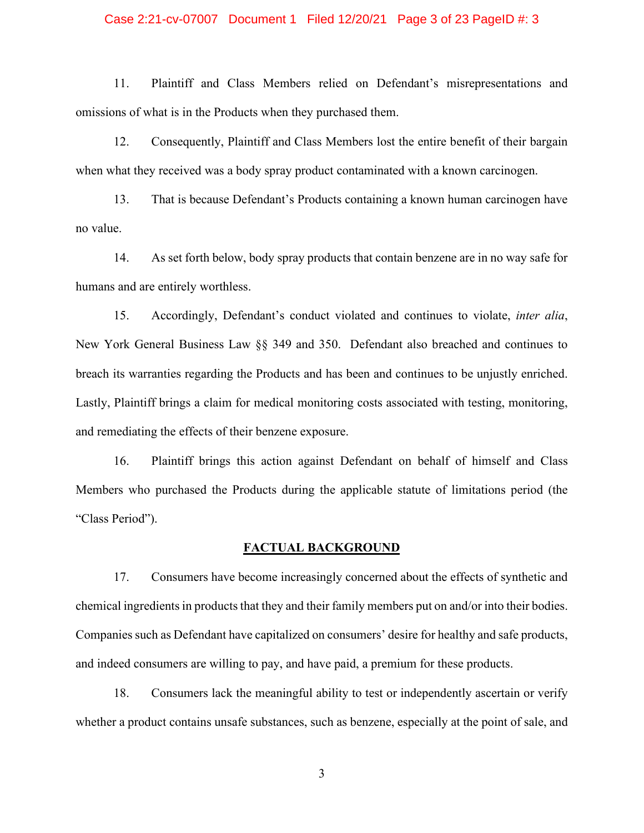#### Case 2:21-cv-07007 Document 1 Filed 12/20/21 Page 3 of 23 PageID #: 3

11. Plaintiff and Class Members relied on Defendant's misrepresentations and omissions of what is in the Products when they purchased them.

12. Consequently, Plaintiff and Class Members lost the entire benefit of their bargain when what they received was a body spray product contaminated with a known carcinogen.

13. That is because Defendant's Products containing a known human carcinogen have no value.

14. As set forth below, body spray products that contain benzene are in no way safe for humans and are entirely worthless.

15. Accordingly, Defendant's conduct violated and continues to violate, *inter alia*, New York General Business Law §§ 349 and 350. Defendant also breached and continues to breach its warranties regarding the Products and has been and continues to be unjustly enriched. Lastly, Plaintiff brings a claim for medical monitoring costs associated with testing, monitoring, and remediating the effects of their benzene exposure.

16. Plaintiff brings this action against Defendant on behalf of himself and Class Members who purchased the Products during the applicable statute of limitations period (the "Class Period").

# **FACTUAL BACKGROUND**

17. Consumers have become increasingly concerned about the effects of synthetic and chemical ingredients in products that they and their family members put on and/or into their bodies. Companies such as Defendant have capitalized on consumers' desire for healthy and safe products, and indeed consumers are willing to pay, and have paid, a premium for these products.

18. Consumers lack the meaningful ability to test or independently ascertain or verify whether a product contains unsafe substances, such as benzene, especially at the point of sale, and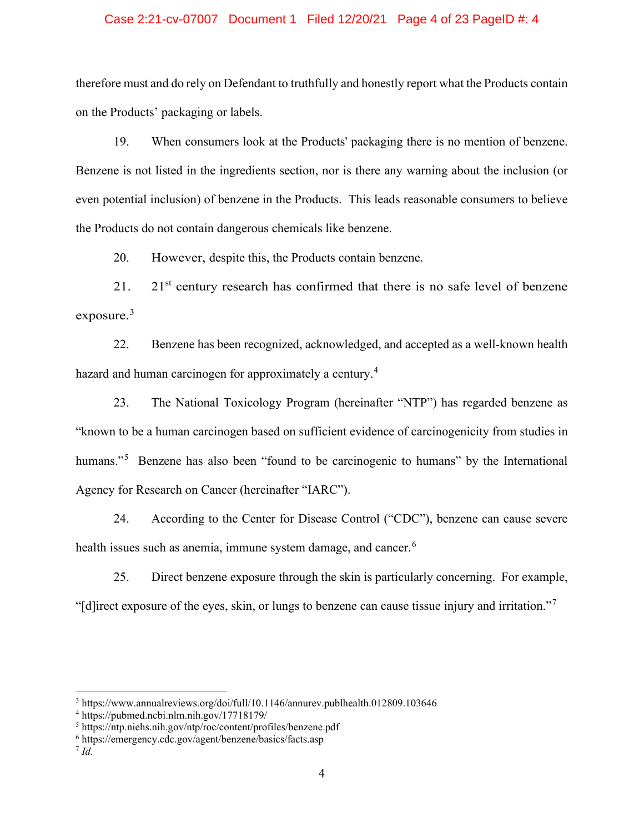#### Case 2:21-cv-07007 Document 1 Filed 12/20/21 Page 4 of 23 PageID #: 4

therefore must and do rely on Defendant to truthfully and honestly report what the Products contain on the Products' packaging or labels.

19. When consumers look at the Products' packaging there is no mention of benzene. Benzene is not listed in the ingredients section, nor is there any warning about the inclusion (or even potential inclusion) of benzene in the Products. This leads reasonable consumers to believe the Products do not contain dangerous chemicals like benzene.

20. However, despite this, the Products contain benzene.

21. 21 $\mathrm{s}$ <sup>1</sup> century research has confirmed that there is no safe level of benzene exposure.<sup>[3](#page-3-0)</sup>

22. Benzene has been recognized, acknowledged, and accepted as a well-known health hazard and human carcinogen for approximately a century.<sup>[4](#page-3-1)</sup>

23. The National Toxicology Program (hereinafter "NTP") has regarded benzene as "known to be a human carcinogen based on sufficient evidence of carcinogenicity from studies in humans."<sup>[5](#page-3-2)</sup> Benzene has also been "found to be carcinogenic to humans" by the International Agency for Research on Cancer (hereinafter "IARC").

24. According to the Center for Disease Control ("CDC"), benzene can cause severe health issues such as anemia, immune system damage, and cancer.<sup>[6](#page-3-3)</sup>

25. Direct benzene exposure through the skin is particularly concerning. For example, "[d]irect exposure of the eyes, skin, or lungs to benzene can cause tissue injury and irritation."[7](#page-3-4)

<span id="page-3-0"></span><sup>3</sup> https://www.annualreviews.org/doi/full/10.1146/annurev.publhealth.012809.103646

<span id="page-3-1"></span><sup>4</sup> https://pubmed.ncbi.nlm.nih.gov/17718179/

<span id="page-3-2"></span><sup>5</sup> https://ntp.niehs.nih.gov/ntp/roc/content/profiles/benzene.pdf

<span id="page-3-3"></span><sup>6</sup> https://emergency.cdc.gov/agent/benzene/basics/facts.asp

<span id="page-3-4"></span><sup>7</sup> *Id.*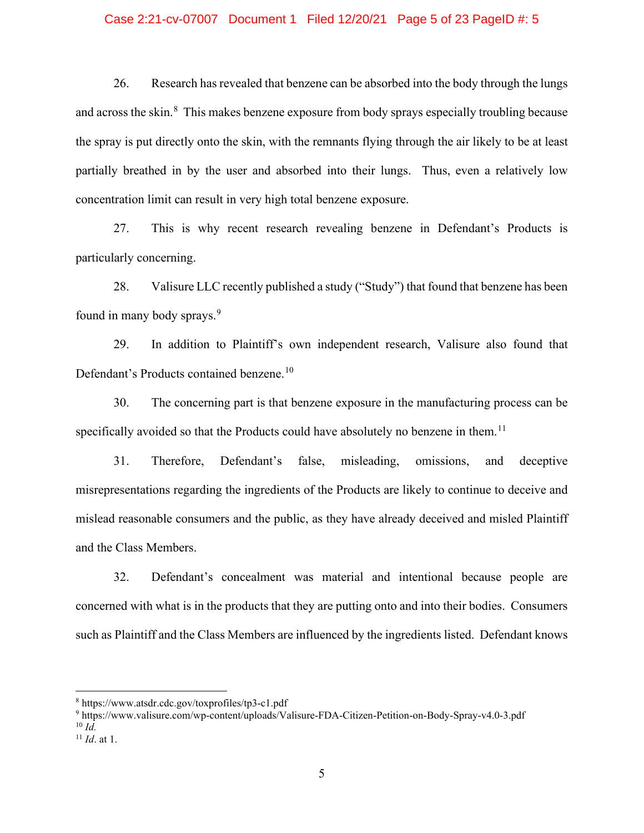#### Case 2:21-cv-07007 Document 1 Filed 12/20/21 Page 5 of 23 PageID #: 5

26. Research has revealed that benzene can be absorbed into the body through the lungs and across the skin.<sup>[8](#page-4-0)</sup> This makes benzene exposure from body sprays especially troubling because the spray is put directly onto the skin, with the remnants flying through the air likely to be at least partially breathed in by the user and absorbed into their lungs. Thus, even a relatively low concentration limit can result in very high total benzene exposure.

27. This is why recent research revealing benzene in Defendant's Products is particularly concerning.

28. Valisure LLC recently published a study ("Study") that found that benzene has been found in many body sprays.<sup>[9](#page-4-1)</sup>

29. In addition to Plaintiff's own independent research, Valisure also found that Defendant's Products contained benzene.<sup>[10](#page-4-2)</sup>

30. The concerning part is that benzene exposure in the manufacturing process can be specifically avoided so that the Products could have absolutely no benzene in them.<sup>[11](#page-4-3)</sup>

31. Therefore, Defendant's false, misleading, omissions, and deceptive misrepresentations regarding the ingredients of the Products are likely to continue to deceive and mislead reasonable consumers and the public, as they have already deceived and misled Plaintiff and the Class Members.

32. Defendant's concealment was material and intentional because people are concerned with what is in the products that they are putting onto and into their bodies. Consumers such as Plaintiff and the Class Members are influenced by the ingredients listed. Defendant knows

<span id="page-4-1"></span><sup>9</sup> https://www.valisure.com/wp-content/uploads/Valisure-FDA-Citizen-Petition-on-Body-Spray-v4.0-3.pdf  $^{10}$  *Id.* 

<span id="page-4-0"></span><sup>8</sup> https://www.atsdr.cdc.gov/toxprofiles/tp3-c1.pdf

<span id="page-4-3"></span><span id="page-4-2"></span><sup>11</sup> *Id*. at 1.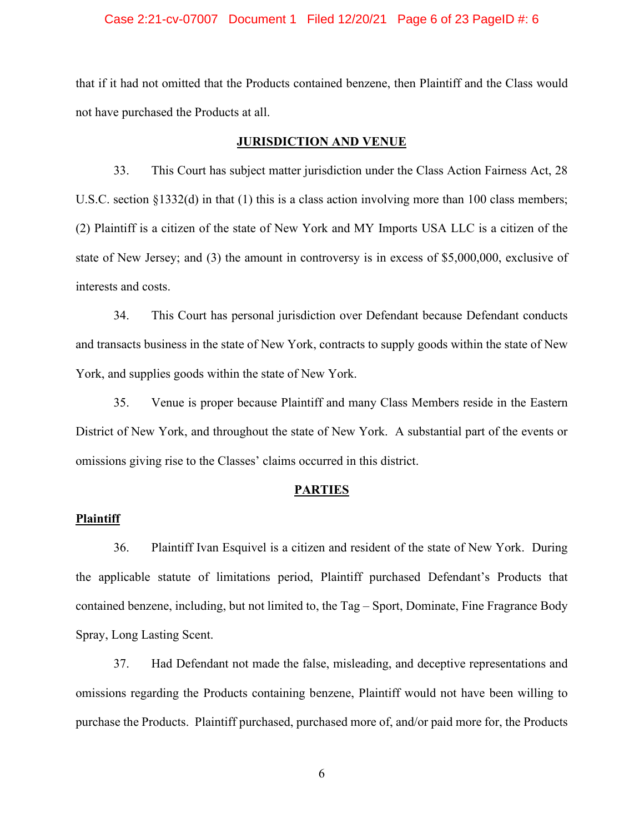#### Case 2:21-cv-07007 Document 1 Filed 12/20/21 Page 6 of 23 PageID #: 6

that if it had not omitted that the Products contained benzene, then Plaintiff and the Class would not have purchased the Products at all.

#### **JURISDICTION AND VENUE**

33. This Court has subject matter jurisdiction under the Class Action Fairness Act, 28 U.S.C. section §1332(d) in that (1) this is a class action involving more than 100 class members; (2) Plaintiff is a citizen of the state of New York and MY Imports USA LLC is a citizen of the state of New Jersey; and (3) the amount in controversy is in excess of \$5,000,000, exclusive of interests and costs.

34. This Court has personal jurisdiction over Defendant because Defendant conducts and transacts business in the state of New York, contracts to supply goods within the state of New York, and supplies goods within the state of New York.

35. Venue is proper because Plaintiff and many Class Members reside in the Eastern District of New York, and throughout the state of New York. A substantial part of the events or omissions giving rise to the Classes' claims occurred in this district.

#### **PARTIES**

#### **Plaintiff**

36. Plaintiff Ivan Esquivel is a citizen and resident of the state of New York. During the applicable statute of limitations period, Plaintiff purchased Defendant's Products that contained benzene, including, but not limited to, the Tag – Sport, Dominate, Fine Fragrance Body Spray, Long Lasting Scent.

37. Had Defendant not made the false, misleading, and deceptive representations and omissions regarding the Products containing benzene, Plaintiff would not have been willing to purchase the Products. Plaintiff purchased, purchased more of, and/or paid more for, the Products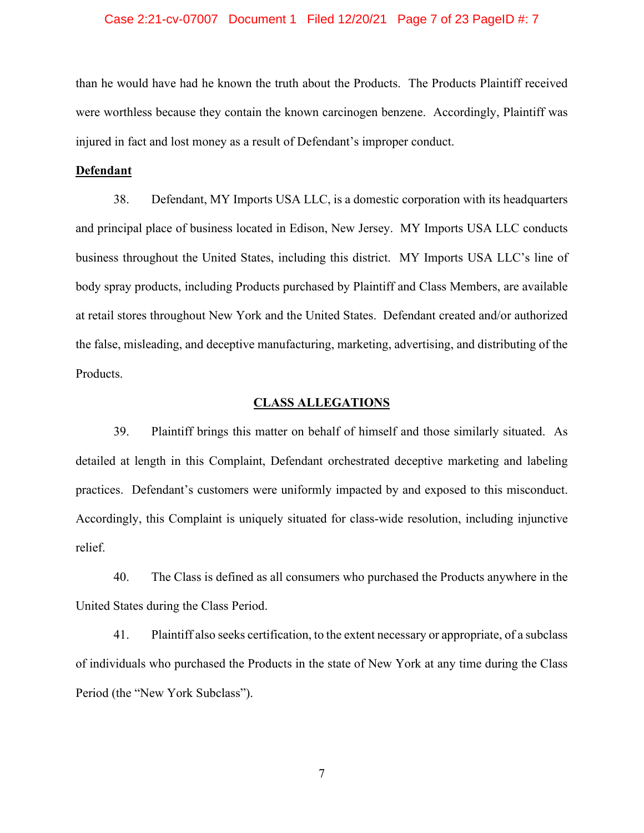#### Case 2:21-cv-07007 Document 1 Filed 12/20/21 Page 7 of 23 PageID #: 7

than he would have had he known the truth about the Products. The Products Plaintiff received were worthless because they contain the known carcinogen benzene. Accordingly, Plaintiff was injured in fact and lost money as a result of Defendant's improper conduct.

#### **Defendant**

38. Defendant, MY Imports USA LLC, is a domestic corporation with its headquarters and principal place of business located in Edison, New Jersey. MY Imports USA LLC conducts business throughout the United States, including this district. MY Imports USA LLC's line of body spray products, including Products purchased by Plaintiff and Class Members, are available at retail stores throughout New York and the United States. Defendant created and/or authorized the false, misleading, and deceptive manufacturing, marketing, advertising, and distributing of the Products.

#### **CLASS ALLEGATIONS**

39. Plaintiff brings this matter on behalf of himself and those similarly situated. As detailed at length in this Complaint, Defendant orchestrated deceptive marketing and labeling practices. Defendant's customers were uniformly impacted by and exposed to this misconduct. Accordingly, this Complaint is uniquely situated for class-wide resolution, including injunctive relief.

40. The Class is defined as all consumers who purchased the Products anywhere in the United States during the Class Period.

41. Plaintiff also seeks certification, to the extent necessary or appropriate, of a subclass of individuals who purchased the Products in the state of New York at any time during the Class Period (the "New York Subclass").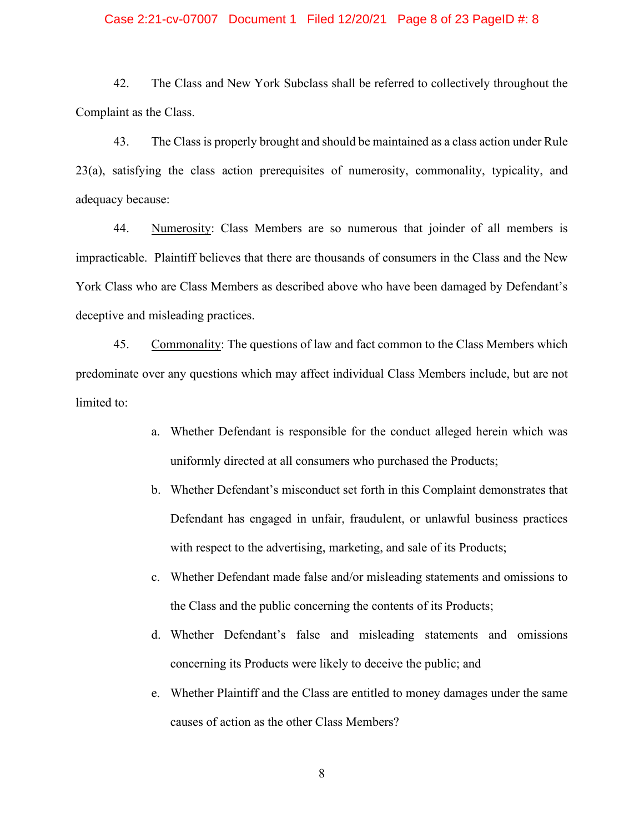#### Case 2:21-cv-07007 Document 1 Filed 12/20/21 Page 8 of 23 PageID #: 8

42. The Class and New York Subclass shall be referred to collectively throughout the Complaint as the Class.

43. The Class is properly brought and should be maintained as a class action under Rule 23(a), satisfying the class action prerequisites of numerosity, commonality, typicality, and adequacy because:

44. Numerosity: Class Members are so numerous that joinder of all members is impracticable. Plaintiff believes that there are thousands of consumers in the Class and the New York Class who are Class Members as described above who have been damaged by Defendant's deceptive and misleading practices.

45. Commonality: The questions of law and fact common to the Class Members which predominate over any questions which may affect individual Class Members include, but are not limited to:

- a. Whether Defendant is responsible for the conduct alleged herein which was uniformly directed at all consumers who purchased the Products;
- b. Whether Defendant's misconduct set forth in this Complaint demonstrates that Defendant has engaged in unfair, fraudulent, or unlawful business practices with respect to the advertising, marketing, and sale of its Products;
- c. Whether Defendant made false and/or misleading statements and omissions to the Class and the public concerning the contents of its Products;
- d. Whether Defendant's false and misleading statements and omissions concerning its Products were likely to deceive the public; and
- e. Whether Plaintiff and the Class are entitled to money damages under the same causes of action as the other Class Members?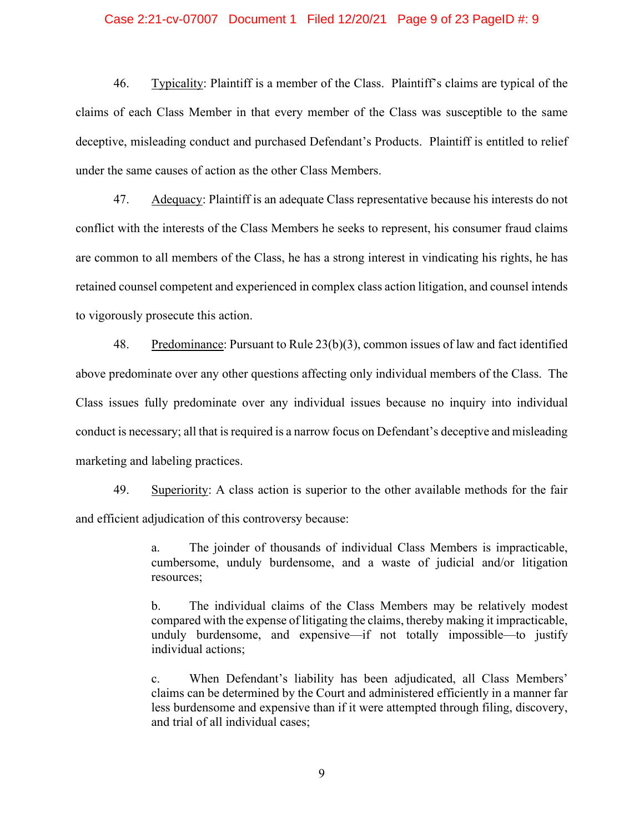#### Case 2:21-cv-07007 Document 1 Filed 12/20/21 Page 9 of 23 PageID #: 9

46. Typicality: Plaintiff is a member of the Class. Plaintiff's claims are typical of the claims of each Class Member in that every member of the Class was susceptible to the same deceptive, misleading conduct and purchased Defendant's Products. Plaintiff is entitled to relief under the same causes of action as the other Class Members.

47. Adequacy: Plaintiff is an adequate Class representative because his interests do not conflict with the interests of the Class Members he seeks to represent, his consumer fraud claims are common to all members of the Class, he has a strong interest in vindicating his rights, he has retained counsel competent and experienced in complex class action litigation, and counsel intends to vigorously prosecute this action.

48. Predominance: Pursuant to Rule 23(b)(3), common issues of law and fact identified above predominate over any other questions affecting only individual members of the Class. The Class issues fully predominate over any individual issues because no inquiry into individual conduct is necessary; all that is required is a narrow focus on Defendant's deceptive and misleading marketing and labeling practices.

49. Superiority: A class action is superior to the other available methods for the fair and efficient adjudication of this controversy because:

> a. The joinder of thousands of individual Class Members is impracticable, cumbersome, unduly burdensome, and a waste of judicial and/or litigation resources;

> b. The individual claims of the Class Members may be relatively modest compared with the expense of litigating the claims, thereby making it impracticable, unduly burdensome, and expensive—if not totally impossible—to justify individual actions;

> c. When Defendant's liability has been adjudicated, all Class Members' claims can be determined by the Court and administered efficiently in a manner far less burdensome and expensive than if it were attempted through filing, discovery, and trial of all individual cases;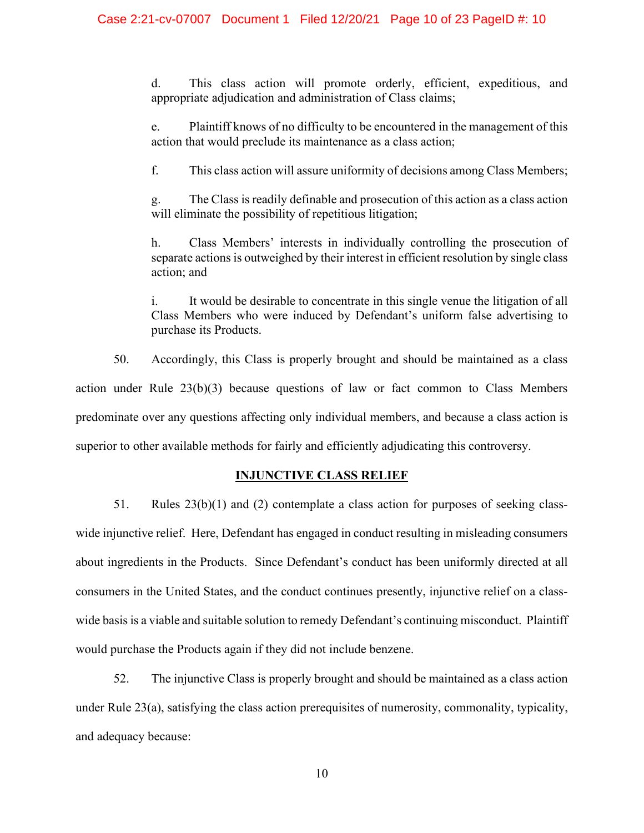d. This class action will promote orderly, efficient, expeditious, and appropriate adjudication and administration of Class claims;

e. Plaintiff knows of no difficulty to be encountered in the management of this action that would preclude its maintenance as a class action;

f. This class action will assure uniformity of decisions among Class Members;

g. The Class is readily definable and prosecution of this action as a class action will eliminate the possibility of repetitious litigation;

h. Class Members' interests in individually controlling the prosecution of separate actions is outweighed by their interest in efficient resolution by single class action; and

i. It would be desirable to concentrate in this single venue the litigation of all Class Members who were induced by Defendant's uniform false advertising to purchase its Products.

50. Accordingly, this Class is properly brought and should be maintained as a class action under Rule 23(b)(3) because questions of law or fact common to Class Members predominate over any questions affecting only individual members, and because a class action is superior to other available methods for fairly and efficiently adjudicating this controversy.

#### **INJUNCTIVE CLASS RELIEF**

51. Rules 23(b)(1) and (2) contemplate a class action for purposes of seeking classwide injunctive relief. Here, Defendant has engaged in conduct resulting in misleading consumers about ingredients in the Products. Since Defendant's conduct has been uniformly directed at all consumers in the United States, and the conduct continues presently, injunctive relief on a classwide basis is a viable and suitable solution to remedy Defendant's continuing misconduct. Plaintiff would purchase the Products again if they did not include benzene.

52. The injunctive Class is properly brought and should be maintained as a class action under Rule 23(a), satisfying the class action prerequisites of numerosity, commonality, typicality, and adequacy because: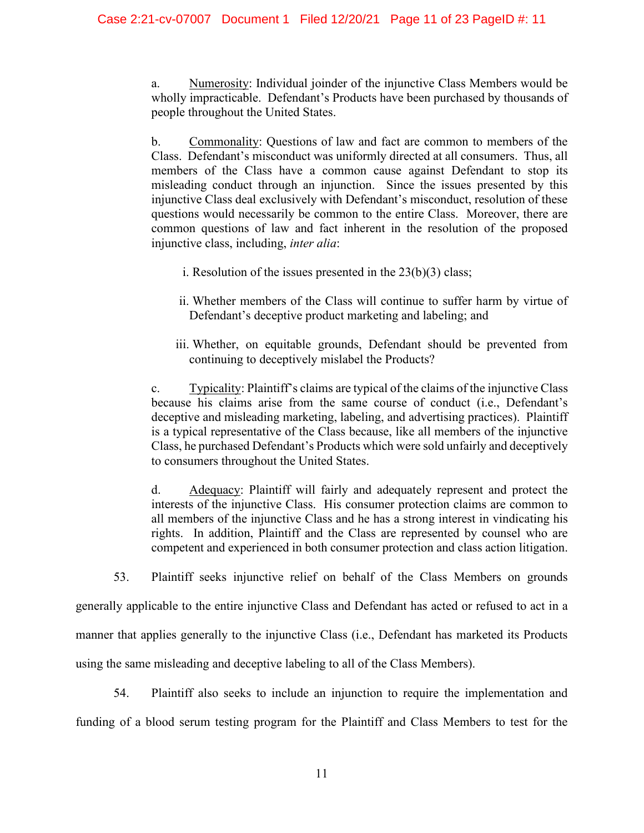a. Numerosity: Individual joinder of the injunctive Class Members would be wholly impracticable. Defendant's Products have been purchased by thousands of people throughout the United States.

b. Commonality: Questions of law and fact are common to members of the Class. Defendant's misconduct was uniformly directed at all consumers. Thus, all members of the Class have a common cause against Defendant to stop its misleading conduct through an injunction. Since the issues presented by this injunctive Class deal exclusively with Defendant's misconduct, resolution of these questions would necessarily be common to the entire Class. Moreover, there are common questions of law and fact inherent in the resolution of the proposed injunctive class, including, *inter alia*:

- i. Resolution of the issues presented in the  $23(b)(3)$  class;
- ii. Whether members of the Class will continue to suffer harm by virtue of Defendant's deceptive product marketing and labeling; and
- iii. Whether, on equitable grounds, Defendant should be prevented from continuing to deceptively mislabel the Products?

c. Typicality: Plaintiff's claims are typical of the claims of the injunctive Class because his claims arise from the same course of conduct (i.e., Defendant's deceptive and misleading marketing, labeling, and advertising practices). Plaintiff is a typical representative of the Class because, like all members of the injunctive Class, he purchased Defendant's Products which were sold unfairly and deceptively to consumers throughout the United States.

d. Adequacy: Plaintiff will fairly and adequately represent and protect the interests of the injunctive Class. His consumer protection claims are common to all members of the injunctive Class and he has a strong interest in vindicating his rights. In addition, Plaintiff and the Class are represented by counsel who are competent and experienced in both consumer protection and class action litigation.

53. Plaintiff seeks injunctive relief on behalf of the Class Members on grounds

generally applicable to the entire injunctive Class and Defendant has acted or refused to act in a manner that applies generally to the injunctive Class (i.e., Defendant has marketed its Products using the same misleading and deceptive labeling to all of the Class Members).

54. Plaintiff also seeks to include an injunction to require the implementation and funding of a blood serum testing program for the Plaintiff and Class Members to test for the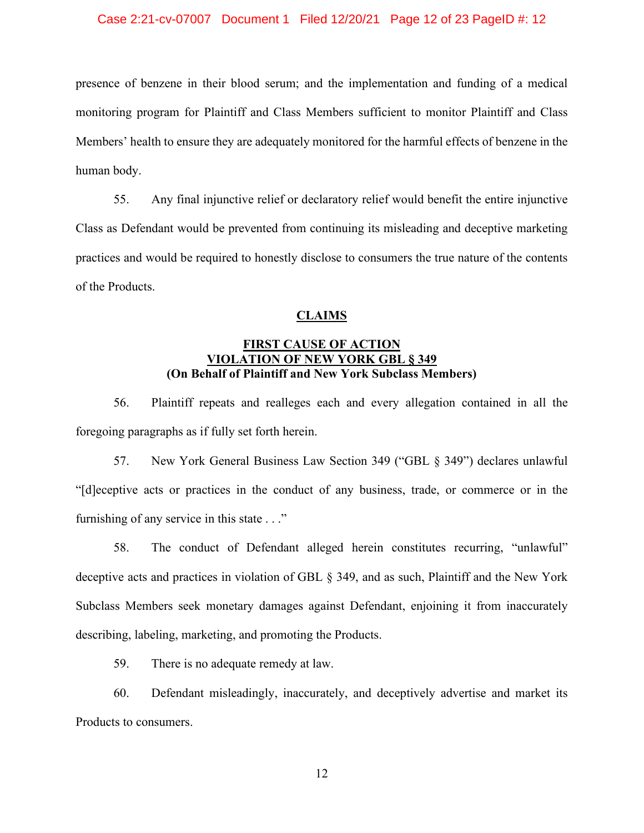#### Case 2:21-cv-07007 Document 1 Filed 12/20/21 Page 12 of 23 PageID #: 12

presence of benzene in their blood serum; and the implementation and funding of a medical monitoring program for Plaintiff and Class Members sufficient to monitor Plaintiff and Class Members' health to ensure they are adequately monitored for the harmful effects of benzene in the human body.

55. Any final injunctive relief or declaratory relief would benefit the entire injunctive Class as Defendant would be prevented from continuing its misleading and deceptive marketing practices and would be required to honestly disclose to consumers the true nature of the contents of the Products.

#### **CLAIMS**

# **FIRST CAUSE OF ACTION VIOLATION OF NEW YORK GBL § 349 (On Behalf of Plaintiff and New York Subclass Members)**

56. Plaintiff repeats and realleges each and every allegation contained in all the foregoing paragraphs as if fully set forth herein.

57. New York General Business Law Section 349 ("GBL § 349") declares unlawful "[d]eceptive acts or practices in the conduct of any business, trade, or commerce or in the furnishing of any service in this state . . ."

58. The conduct of Defendant alleged herein constitutes recurring, "unlawful" deceptive acts and practices in violation of GBL § 349, and as such, Plaintiff and the New York Subclass Members seek monetary damages against Defendant, enjoining it from inaccurately describing, labeling, marketing, and promoting the Products.

59. There is no adequate remedy at law.

60. Defendant misleadingly, inaccurately, and deceptively advertise and market its Products to consumers.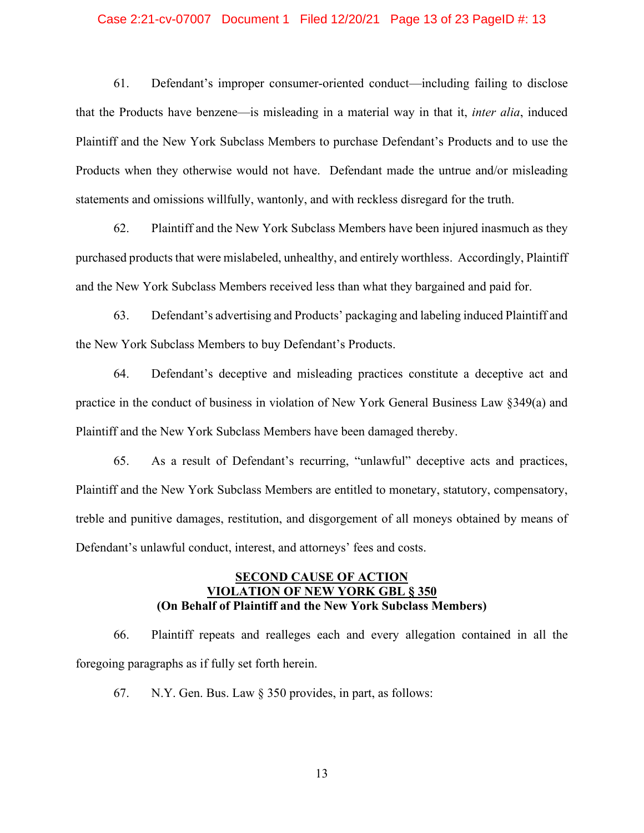#### Case 2:21-cv-07007 Document 1 Filed 12/20/21 Page 13 of 23 PageID #: 13

61. Defendant's improper consumer-oriented conduct—including failing to disclose that the Products have benzene—is misleading in a material way in that it, *inter alia*, induced Plaintiff and the New York Subclass Members to purchase Defendant's Products and to use the Products when they otherwise would not have. Defendant made the untrue and/or misleading statements and omissions willfully, wantonly, and with reckless disregard for the truth.

62. Plaintiff and the New York Subclass Members have been injured inasmuch as they purchased products that were mislabeled, unhealthy, and entirely worthless. Accordingly, Plaintiff and the New York Subclass Members received less than what they bargained and paid for.

63. Defendant's advertising and Products' packaging and labeling induced Plaintiff and the New York Subclass Members to buy Defendant's Products.

64. Defendant's deceptive and misleading practices constitute a deceptive act and practice in the conduct of business in violation of New York General Business Law §349(a) and Plaintiff and the New York Subclass Members have been damaged thereby.

65. As a result of Defendant's recurring, "unlawful" deceptive acts and practices, Plaintiff and the New York Subclass Members are entitled to monetary, statutory, compensatory, treble and punitive damages, restitution, and disgorgement of all moneys obtained by means of Defendant's unlawful conduct, interest, and attorneys' fees and costs.

# **SECOND CAUSE OF ACTION VIOLATION OF NEW YORK GBL § 350 (On Behalf of Plaintiff and the New York Subclass Members)**

66. Plaintiff repeats and realleges each and every allegation contained in all the foregoing paragraphs as if fully set forth herein.

67. N.Y. Gen. Bus. Law § 350 provides, in part, as follows: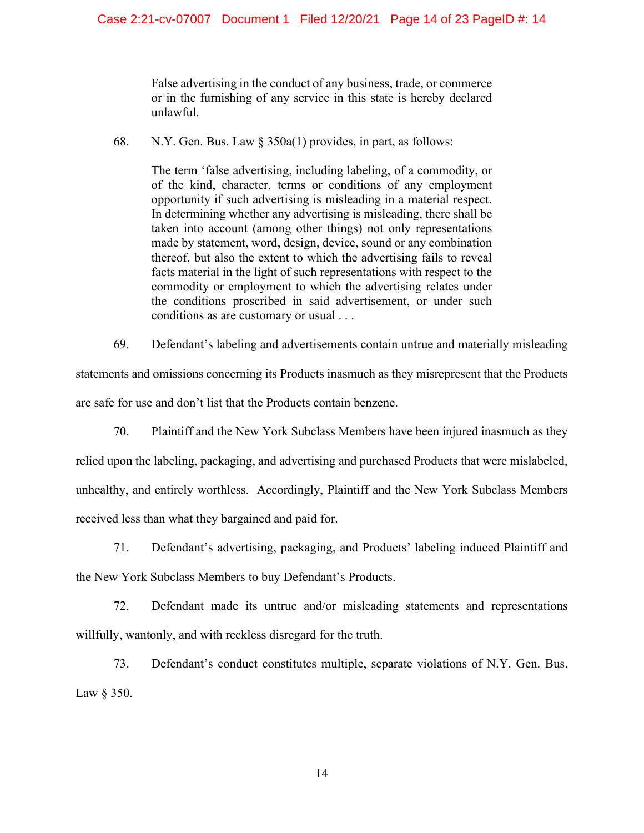False advertising in the conduct of any business, trade, or commerce or in the furnishing of any service in this state is hereby declared unlawful.

68. N.Y. Gen. Bus. Law § 350a(1) provides, in part, as follows:

The term 'false advertising, including labeling, of a commodity, or of the kind, character, terms or conditions of any employment opportunity if such advertising is misleading in a material respect. In determining whether any advertising is misleading, there shall be taken into account (among other things) not only representations made by statement, word, design, device, sound or any combination thereof, but also the extent to which the advertising fails to reveal facts material in the light of such representations with respect to the commodity or employment to which the advertising relates under the conditions proscribed in said advertisement, or under such conditions as are customary or usual . . .

69. Defendant's labeling and advertisements contain untrue and materially misleading statements and omissions concerning its Products inasmuch as they misrepresent that the Products are safe for use and don't list that the Products contain benzene.

70. Plaintiff and the New York Subclass Members have been injured inasmuch as they relied upon the labeling, packaging, and advertising and purchased Products that were mislabeled, unhealthy, and entirely worthless. Accordingly, Plaintiff and the New York Subclass Members received less than what they bargained and paid for.

71. Defendant's advertising, packaging, and Products' labeling induced Plaintiff and the New York Subclass Members to buy Defendant's Products.

72. Defendant made its untrue and/or misleading statements and representations willfully, wantonly, and with reckless disregard for the truth.

73. Defendant's conduct constitutes multiple, separate violations of N.Y. Gen. Bus. Law § 350.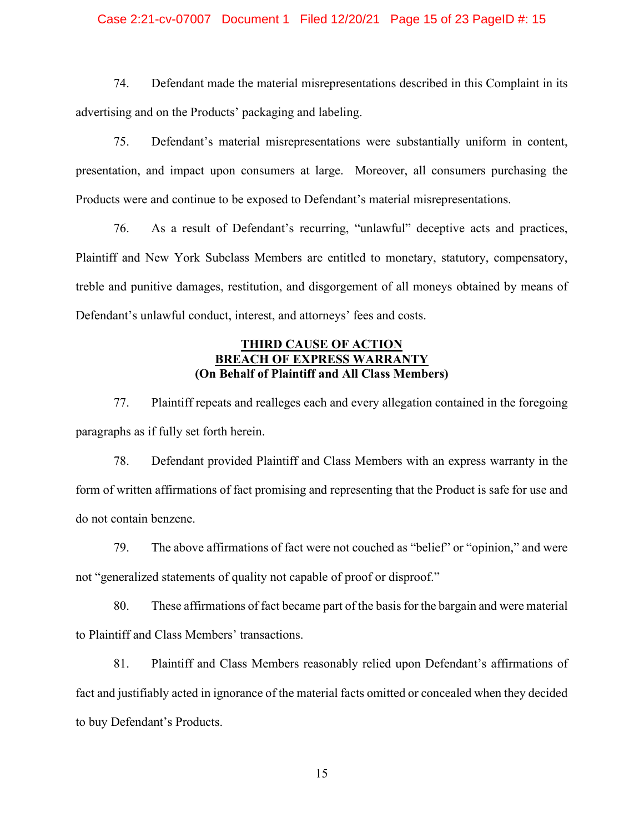#### Case 2:21-cv-07007 Document 1 Filed 12/20/21 Page 15 of 23 PageID #: 15

74. Defendant made the material misrepresentations described in this Complaint in its advertising and on the Products' packaging and labeling.

75. Defendant's material misrepresentations were substantially uniform in content, presentation, and impact upon consumers at large. Moreover, all consumers purchasing the Products were and continue to be exposed to Defendant's material misrepresentations.

76. As a result of Defendant's recurring, "unlawful" deceptive acts and practices, Plaintiff and New York Subclass Members are entitled to monetary, statutory, compensatory, treble and punitive damages, restitution, and disgorgement of all moneys obtained by means of Defendant's unlawful conduct, interest, and attorneys' fees and costs.

# **THIRD CAUSE OF ACTION BREACH OF EXPRESS WARRANT (On Behalf of Plaintiff and All Class Members)**

77. Plaintiff repeats and realleges each and every allegation contained in the foregoing paragraphs as if fully set forth herein.

78. Defendant provided Plaintiff and Class Members with an express warranty in the form of written affirmations of fact promising and representing that the Product is safe for use and do not contain benzene.

79. The above affirmations of fact were not couched as "belief" or "opinion," and were not "generalized statements of quality not capable of proof or disproof."

80. These affirmations of fact became part of the basis for the bargain and were material to Plaintiff and Class Members' transactions.

81. Plaintiff and Class Members reasonably relied upon Defendant's affirmations of fact and justifiably acted in ignorance of the material facts omitted or concealed when they decided to buy Defendant's Products.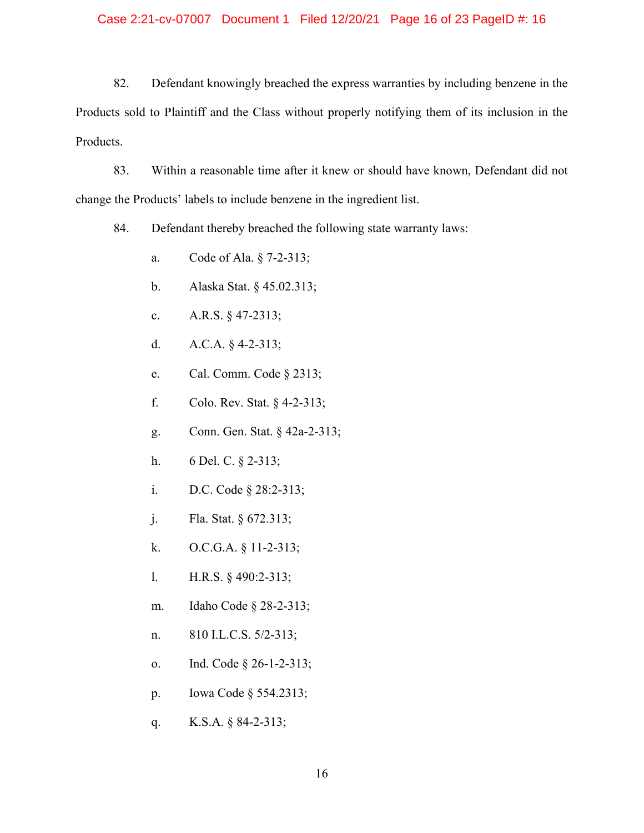#### Case 2:21-cv-07007 Document 1 Filed 12/20/21 Page 16 of 23 PageID #: 16

82. Defendant knowingly breached the express warranties by including benzene in the Products sold to Plaintiff and the Class without properly notifying them of its inclusion in the Products.

83. Within a reasonable time after it knew or should have known, Defendant did not change the Products' labels to include benzene in the ingredient list.

84. Defendant thereby breached the following state warranty laws:

- a. Code of Ala. § 7-2-313;
- b. Alaska Stat. § 45.02.313;
- c. A.R.S. § 47-2313;
- d. A.C.A. § 4-2-313;
- e. Cal. Comm. Code § 2313;
- f. Colo. Rev. Stat. § 4-2-313;
- g. Conn. Gen. Stat. § 42a-2-313;
- h. 6 Del. C. § 2-313;
- i. D.C. Code § 28:2-313;
- j. Fla. Stat. § 672.313;
- k. O.C.G.A. § 11-2-313;
- l. H.R.S. § 490:2-313;
- m. Idaho Code § 28-2-313;
- n. 810 I.L.C.S. 5/2-313;
- o. Ind. Code § 26-1-2-313;
- p. Iowa Code § 554.2313;
- q. K.S.A. § 84-2-313;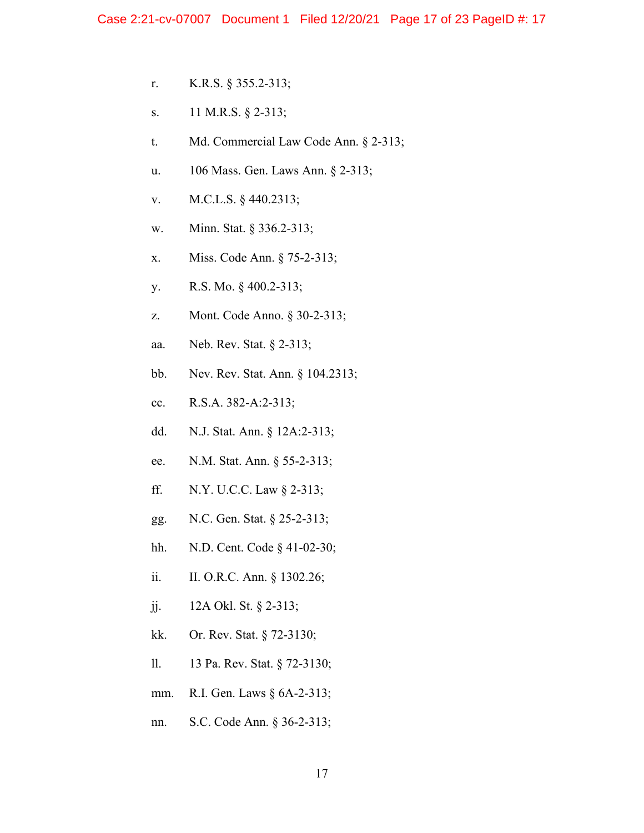- r. K.R.S. § 355.2-313;
- s. 11 M.R.S. § 2-313;
- t. Md. Commercial Law Code Ann. § 2-313;
- u. 106 Mass. Gen. Laws Ann. § 2-313;
- v. M.C.L.S. § 440.2313;
- w. Minn. Stat. § 336.2-313;
- x. Miss. Code Ann. § 75-2-313;
- y. R.S. Mo. § 400.2-313;
- z. Mont. Code Anno. § 30-2-313;
- aa. Neb. Rev. Stat. § 2-313;
- bb. Nev. Rev. Stat. Ann. § 104.2313;
- cc. R.S.A. 382-A:2-313;
- dd. N.J. Stat. Ann. § 12A:2-313;
- ee. N.M. Stat. Ann. § 55-2-313;
- ff. N.Y. U.C.C. Law § 2-313;
- gg. N.C. Gen. Stat. § 25-2-313;
- hh. N.D. Cent. Code § 41-02-30;
- ii. II. O.R.C. Ann. § 1302.26;
- jj. 12A Okl. St. § 2-313;
- kk. Or. Rev. Stat. § 72-3130;
- ll. 13 Pa. Rev. Stat. § 72-3130;
- mm. R.I. Gen. Laws § 6A-2-313;
- nn. S.C. Code Ann. § 36-2-313;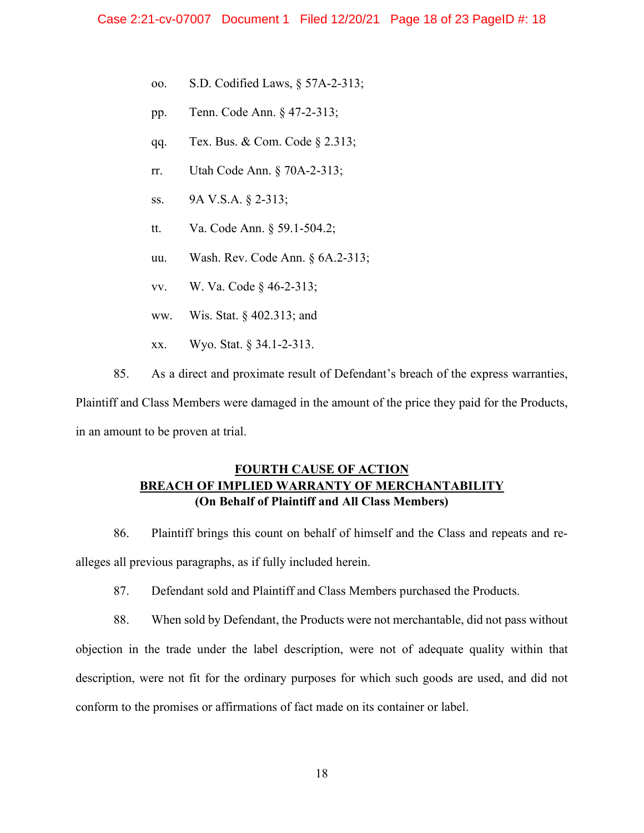- oo. S.D. Codified Laws, § 57A-2-313;
- pp. Tenn. Code Ann. § 47-2-313;
- qq. Tex. Bus. & Com. Code § 2.313;
- rr. Utah Code Ann. § 70A-2-313;
- ss. 9A V.S.A. § 2-313;
- tt. Va. Code Ann. § 59.1-504.2;
- uu. Wash. Rev. Code Ann. § 6A.2-313;
- vv. W. Va. Code § 46-2-313;
- ww. Wis. Stat. § 402.313; and
- xx. Wyo. Stat. § 34.1-2-313.
- 85. As a direct and proximate result of Defendant's breach of the express warranties,

Plaintiff and Class Members were damaged in the amount of the price they paid for the Products, in an amount to be proven at trial.

# **FOURTH CAUSE OF ACTION BREACH OF IMPLIED WARRANTY OF MERCHANTABILITY (On Behalf of Plaintiff and All Class Members)**

86. Plaintiff brings this count on behalf of himself and the Class and repeats and realleges all previous paragraphs, as if fully included herein.

87. Defendant sold and Plaintiff and Class Members purchased the Products.

88. When sold by Defendant, the Products were not merchantable, did not pass without objection in the trade under the label description, were not of adequate quality within that description, were not fit for the ordinary purposes for which such goods are used, and did not conform to the promises or affirmations of fact made on its container or label.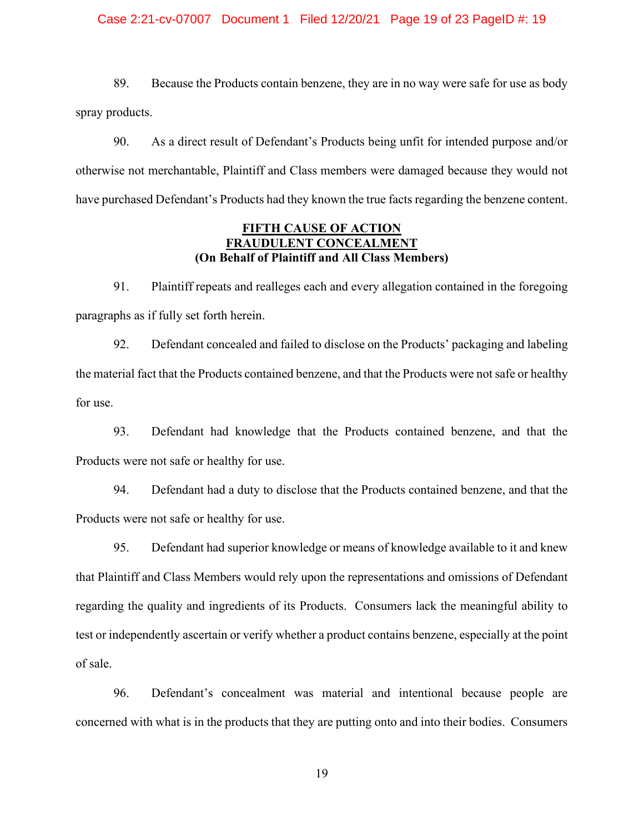#### Case 2:21-cv-07007 Document 1 Filed 12/20/21 Page 19 of 23 PageID #: 19

89. Because the Products contain benzene, they are in no way were safe for use as body spray products.

90. As a direct result of Defendant's Products being unfit for intended purpose and/or otherwise not merchantable, Plaintiff and Class members were damaged because they would not have purchased Defendant's Products had they known the true facts regarding the benzene content.

## **FIFTH CAUSE OF ACTION FRAUDULENT CONCEALMENT (On Behalf of Plaintiff and All Class Members)**

91. Plaintiff repeats and realleges each and every allegation contained in the foregoing paragraphs as if fully set forth herein.

92. Defendant concealed and failed to disclose on the Products' packaging and labeling the material fact that the Products contained benzene, and that the Products were not safe or healthy for use.

93. Defendant had knowledge that the Products contained benzene, and that the Products were not safe or healthy for use.

94. Defendant had a duty to disclose that the Products contained benzene, and that the Products were not safe or healthy for use.

95. Defendant had superior knowledge or means of knowledge available to it and knew that Plaintiff and Class Members would rely upon the representations and omissions of Defendant regarding the quality and ingredients of its Products. Consumers lack the meaningful ability to test or independently ascertain or verify whether a product contains benzene, especially at the point of sale.

96. Defendant's concealment was material and intentional because people are concerned with what is in the products that they are putting onto and into their bodies. Consumers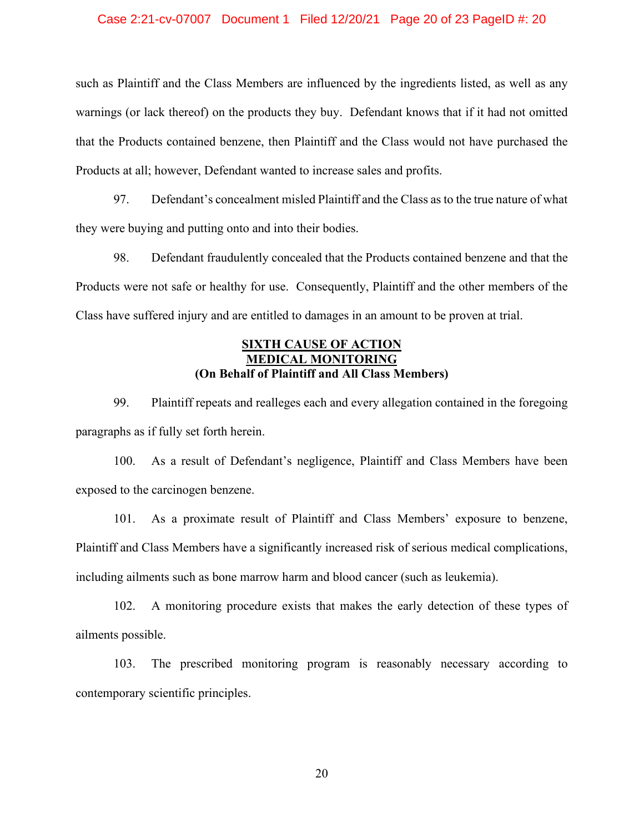#### Case 2:21-cv-07007 Document 1 Filed 12/20/21 Page 20 of 23 PageID #: 20

such as Plaintiff and the Class Members are influenced by the ingredients listed, as well as any warnings (or lack thereof) on the products they buy. Defendant knows that if it had not omitted that the Products contained benzene, then Plaintiff and the Class would not have purchased the Products at all; however, Defendant wanted to increase sales and profits.

97. Defendant's concealment misled Plaintiff and the Class as to the true nature of what they were buying and putting onto and into their bodies.

98. Defendant fraudulently concealed that the Products contained benzene and that the Products were not safe or healthy for use. Consequently, Plaintiff and the other members of the Class have suffered injury and are entitled to damages in an amount to be proven at trial.

# **SIXTH CAUSE OF ACTION MEDICAL MONITORING (On Behalf of Plaintiff and All Class Members)**

99. Plaintiff repeats and realleges each and every allegation contained in the foregoing paragraphs as if fully set forth herein.

100. As a result of Defendant's negligence, Plaintiff and Class Members have been exposed to the carcinogen benzene.

101. As a proximate result of Plaintiff and Class Members' exposure to benzene, Plaintiff and Class Members have a significantly increased risk of serious medical complications, including ailments such as bone marrow harm and blood cancer (such as leukemia).

102. A monitoring procedure exists that makes the early detection of these types of ailments possible.

103. The prescribed monitoring program is reasonably necessary according to contemporary scientific principles.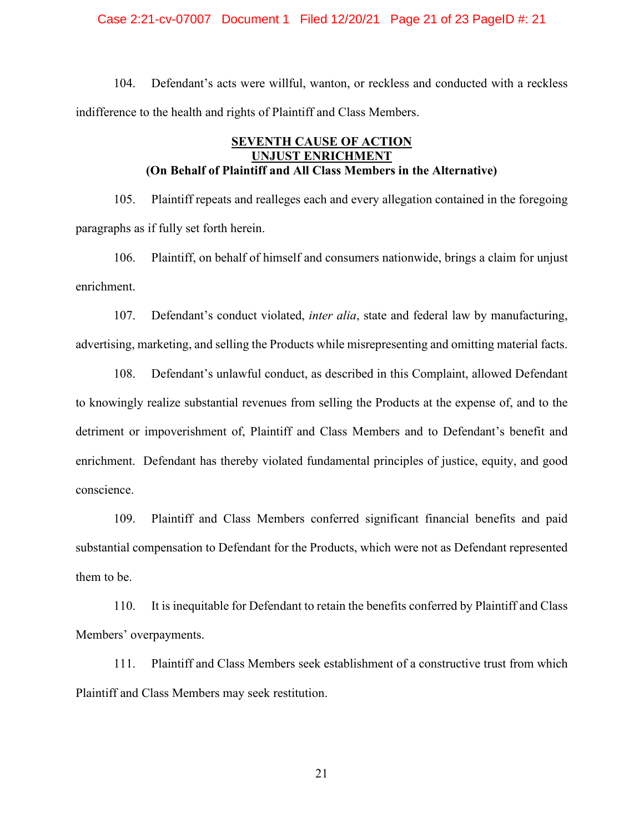#### Case 2:21-cv-07007 Document 1 Filed 12/20/21 Page 21 of 23 PageID #: 21

104. Defendant's acts were willful, wanton, or reckless and conducted with a reckless indifference to the health and rights of Plaintiff and Class Members.

# **SEVENTH CAUSE OF ACTION UNJUST ENRICHMENT (On Behalf of Plaintiff and All Class Members in the Alternative)**

105. Plaintiff repeats and realleges each and every allegation contained in the foregoing paragraphs as if fully set forth herein.

106. Plaintiff, on behalf of himself and consumers nationwide, brings a claim for unjust enrichment.

107. Defendant's conduct violated, *inter alia*, state and federal law by manufacturing, advertising, marketing, and selling the Products while misrepresenting and omitting material facts.

108. Defendant's unlawful conduct, as described in this Complaint, allowed Defendant to knowingly realize substantial revenues from selling the Products at the expense of, and to the detriment or impoverishment of, Plaintiff and Class Members and to Defendant's benefit and enrichment. Defendant has thereby violated fundamental principles of justice, equity, and good conscience.

109. Plaintiff and Class Members conferred significant financial benefits and paid substantial compensation to Defendant for the Products, which were not as Defendant represented them to be.

110. It is inequitable for Defendant to retain the benefits conferred by Plaintiff and Class Members' overpayments.

111. Plaintiff and Class Members seek establishment of a constructive trust from which Plaintiff and Class Members may seek restitution.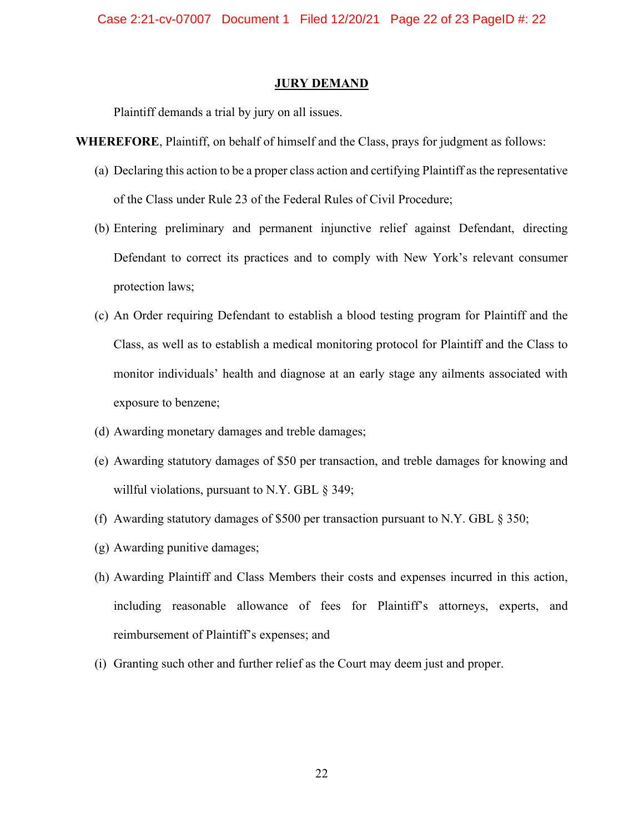Case 2:21-cv-07007 Document 1 Filed 12/20/21 Page 22 of 23 PageID #: 22

#### **JURY DEMAND**

Plaintiff demands a trial by jury on all issues.

**WHEREFORE**, Plaintiff, on behalf of himself and the Class, prays for judgment as follows:

- (a) Declaring this action to be a proper class action and certifying Plaintiff as the representative of the Class under Rule 23 of the Federal Rules of Civil Procedure;
- (b) Entering preliminary and permanent injunctive relief against Defendant, directing Defendant to correct its practices and to comply with New York's relevant consumer protection laws;
- (c) An Order requiring Defendant to establish a blood testing program for Plaintiff and the Class, as well as to establish a medical monitoring protocol for Plaintiff and the Class to monitor individuals' health and diagnose at an early stage any ailments associated with exposure to benzene;
- (d) Awarding monetary damages and treble damages;
- (e) Awarding statutory damages of \$50 per transaction, and treble damages for knowing and willful violations, pursuant to N.Y. GBL § 349;
- (f) Awarding statutory damages of \$500 per transaction pursuant to N.Y. GBL § 350;
- (g) Awarding punitive damages;
- (h) Awarding Plaintiff and Class Members their costs and expenses incurred in this action, including reasonable allowance of fees for Plaintiff's attorneys, experts, and reimbursement of Plaintiff's expenses; and
- (i) Granting such other and further relief as the Court may deem just and proper.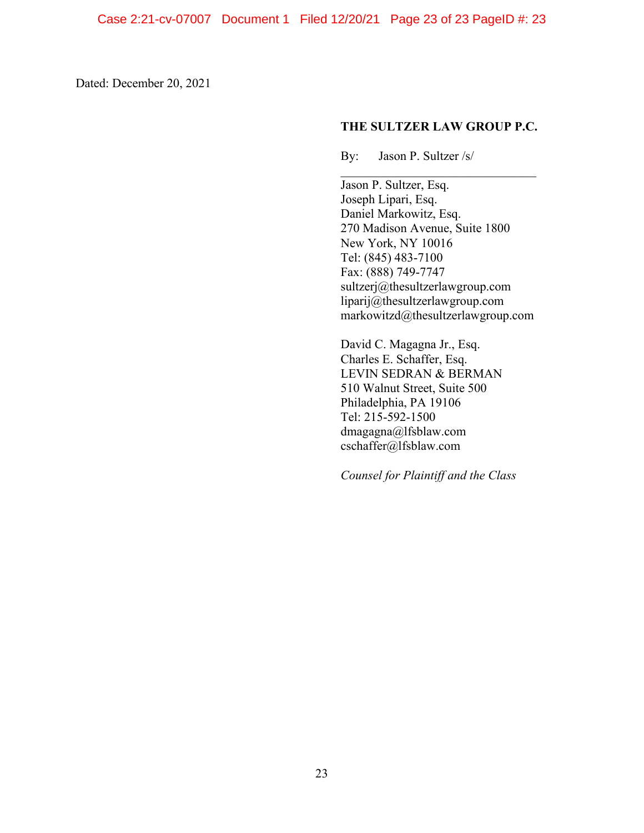Dated: December 20, 2021

#### **THE SULTZER LAW GROUP P.C.**

By: Jason P. Sultzer /s/

 $\mathcal{L}_\text{max}$  and  $\mathcal{L}_\text{max}$  and  $\mathcal{L}_\text{max}$  and  $\mathcal{L}_\text{max}$ Jason P. Sultzer, Esq. Joseph Lipari, Esq. Daniel Markowitz, Esq. 270 Madison Avenue, Suite 1800 New York, NY 10016 Tel: (845) 483-7100 Fax: (888) 749-7747 sultzerj@thesultzerlawgroup.com liparij@thesultzerlawgroup.com markowitzd@thesultzerlawgroup.com

David C. Magagna Jr., Esq. Charles E. Schaffer, Esq. LEVIN SEDRAN & BERMAN 510 Walnut Street, Suite 500 Philadelphia, PA 19106 Tel: 215-592-1500 dmagagna@lfsblaw.com cschaffer@lfsblaw.com

*Counsel for Plaintiff and the Class*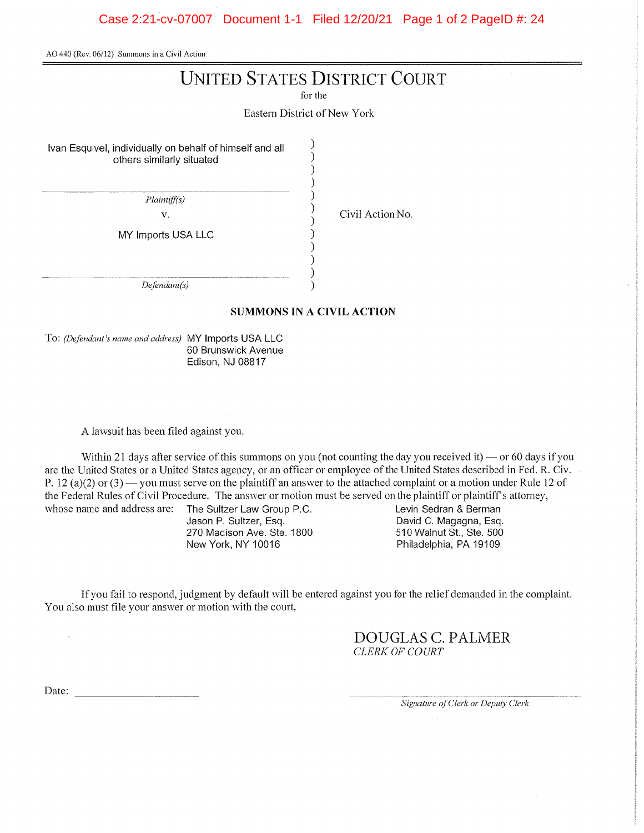AO 440 (Rev. 06/12) Summons in a Civil Action

# **UNITED STATES DISTRICT COURT**

for the

Eastern District of New York

 $\lambda$ 

Ivan Esquivel, individually on behalf of himself and all others similarly situated

Plaintiff(s)

 $\bar{V}$ .

MY Imports USA LLC

Civil Action No.

 $Defendant(s)$ 

#### **SUMMONS IN A CIVIL ACTION**

To: (Defendant's name and address) MY Imports USA LLC 60 Brunswick Avenue Edison, NJ 08817

A lawsuit has been filed against you.

Within 21 days after service of this summons on you (not counting the day you received it) — or 60 days if you are the United States or a United States agency, or an officer or employee of the United States described in Fed. R. Civ. P. 12 (a)(2) or (3) — you must serve on the plaintiff an answer to the attached complaint or a motion under Rule 12 of the Federal Rules of Civil Procedure. The answer or motion must be served on the plaintiff or plaintiff's attorney,

> The Sultzer Law Group P.C. Jason P. Sultzer, Esq. 270 Madison Ave. Ste. 1800 New York, NY 10016

Levin Sedran & Berman David C. Magagna, Esq. 510 Walnut St., Ste. 500 Philadelphia, PA 19109

If you fail to respond, judgment by default will be entered against you for the relief demanded in the complaint. You also must file your answer or motion with the court,

> DOUGLAS C. PALMER CLERK OF COURT

Date:

whose name and address are:

 $\bar{\bar{z}}$ 

Signature of Clerk or Deputy Clerk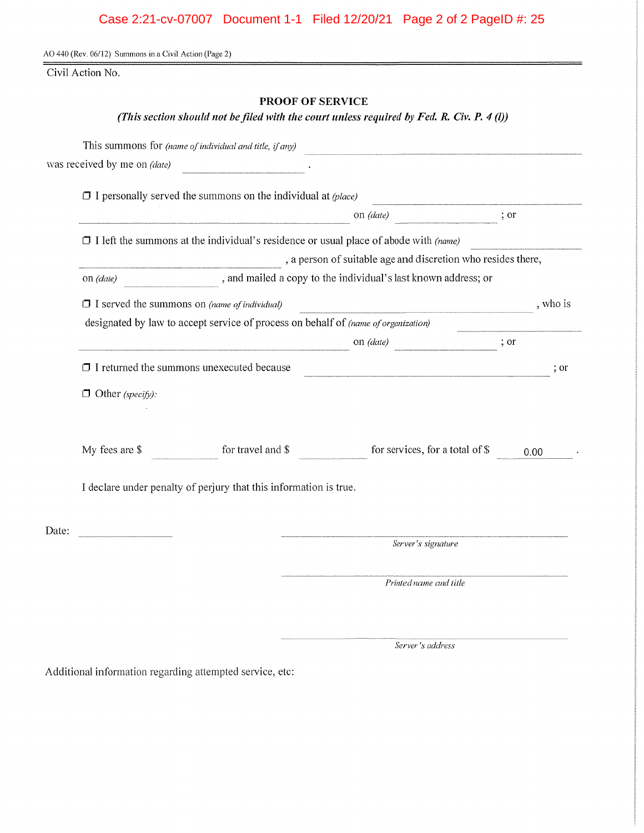# Case 2:21-cv-07007 Document 1-1 Filed 12/20/21 Page 2 of 2 PageID #: 25

AO 440 (Rev. 06/12) Summons in a Civil Action (Page 2)

Civil Action No.

# PROOF OF SERVICE

(This section should not be filed with the court unless required by Fed. R. Civ. P. 4(I))

|                              | This summons for (name of individual and title, if any)                                     |                                                                                                                       |                  |
|------------------------------|---------------------------------------------------------------------------------------------|-----------------------------------------------------------------------------------------------------------------------|------------------|
| was received by me on (date) |                                                                                             |                                                                                                                       |                  |
|                              | $\Box$ I personally served the summons on the individual at (place)                         |                                                                                                                       |                  |
|                              |                                                                                             | on (date)                                                                                                             | $\frac{1}{2}$ or |
|                              | $\Box$ I left the summons at the individual's residence or usual place of abode with (name) |                                                                                                                       |                  |
|                              |                                                                                             | , a person of suitable age and discretion who resides there,                                                          |                  |
| on (date)                    |                                                                                             | , and mailed a copy to the individual's last known address; or                                                        |                  |
|                              | $\Box$ I served the summons on (name of individual)                                         |                                                                                                                       | , who is         |
|                              | designated by law to accept service of process on behalf of (name of organization)          |                                                                                                                       |                  |
|                              |                                                                                             | on (date)                                                                                                             | $\frac{1}{2}$ or |
|                              | $\Box$ I returned the summons unexecuted because                                            | <u> 1980 - Johann Stein, marwolaethau a bhannaich an t-Albann an t-Albann an t-Albann an t-Albann an t-Albann an </u> | ; or             |
| $\Box$ Other (specify):      |                                                                                             |                                                                                                                       |                  |
|                              |                                                                                             |                                                                                                                       |                  |
| My fees are \$               | for travel and \$                                                                           | for services, for a total of \$                                                                                       | 0.00             |
|                              | I declare under penalty of perjury that this information is true.                           |                                                                                                                       |                  |
| Date:                        |                                                                                             |                                                                                                                       |                  |
|                              |                                                                                             | Server's signature                                                                                                    |                  |
|                              |                                                                                             | Printed name and title                                                                                                |                  |
|                              |                                                                                             |                                                                                                                       |                  |

Server's address

Additional information regarding attempted service, etc: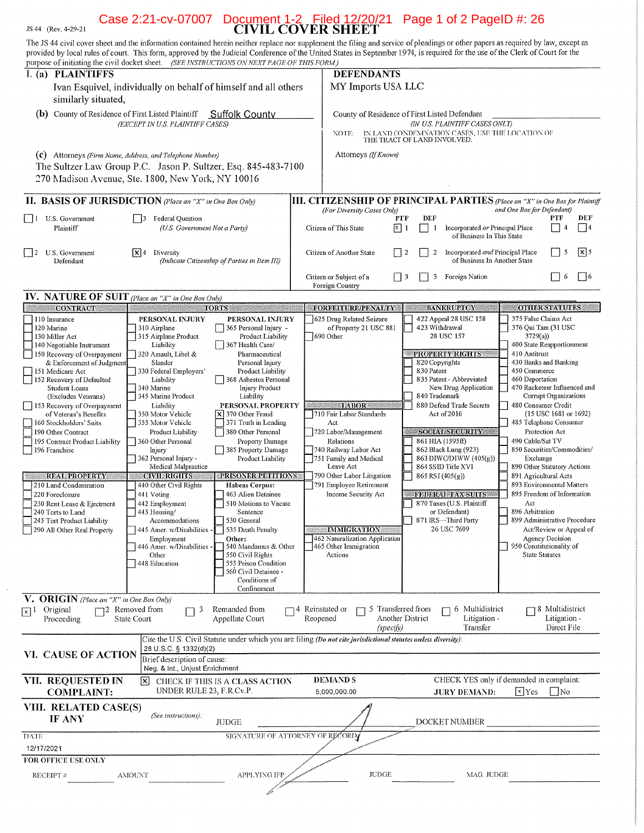# Case 2:21-cv-07007 Document 1-2 Filed 12/20/21 Page 1 of 2 PageID #: 26

JS 44 (Rev. 4-29-21)

 $\sim$ 

| The JS 44 civil cover sheet and the information contained herein neither replace nor supplement the filing and service of pleadings or other papers as required by law, except as<br>provided by local rules of court. This form, approved by the Judicial Conference of the United States in September 1974, is required for the use of the Clerk of Court for the |                                                                                                                                                                                 |                                               |                                                                              |                                                                                                                |                                              |                                                                                   |                                         |                                                       |              |
|---------------------------------------------------------------------------------------------------------------------------------------------------------------------------------------------------------------------------------------------------------------------------------------------------------------------------------------------------------------------|---------------------------------------------------------------------------------------------------------------------------------------------------------------------------------|-----------------------------------------------|------------------------------------------------------------------------------|----------------------------------------------------------------------------------------------------------------|----------------------------------------------|-----------------------------------------------------------------------------------|-----------------------------------------|-------------------------------------------------------|--------------|
| purpose of initiating the civil docket sheet. (SEE INSTRUCTIONS ON NEXT PAGE OF THIS FORM.)<br>I. (a) PLAINTIFFS                                                                                                                                                                                                                                                    |                                                                                                                                                                                 |                                               |                                                                              | <b>DEFENDANTS</b>                                                                                              |                                              |                                                                                   |                                         |                                                       |              |
| similarly situated,                                                                                                                                                                                                                                                                                                                                                 | Ivan Esquivel, individually on behalf of himself and all others                                                                                                                 |                                               |                                                                              | MY Imports USA LLC                                                                                             |                                              |                                                                                   |                                         |                                                       |              |
| (b) County of Residence of First Listed Plaintiff                                                                                                                                                                                                                                                                                                                   | (EXCEPT IN U.S. PLAINTIFF CASES)                                                                                                                                                | <b>Suffolk County</b>                         |                                                                              | County of Residence of First Listed Defendant<br>NOTE:                                                         | THE TRACT OF LAND INVOLVED.                  | (IN U.S. PLAINTIFF CASES ONLY)<br>IN LAND CONDEMNATION CASES, USE THE LOCATION OF |                                         |                                                       |              |
|                                                                                                                                                                                                                                                                                                                                                                     | (C) Attorneys (Firm Name, Address, and Telephone Number)<br>The Sultzer Law Group P.C. Jason P. Sultzer, Esq. 845-483-7100<br>270 Madison Avenue, Ste. 1800, New York, NY 10016 |                                               |                                                                              | Attorneys (If Known)                                                                                           |                                              |                                                                                   |                                         |                                                       |              |
| <b>II. BASIS OF JURISDICTION</b> (Place an "X" in One Box Only)                                                                                                                                                                                                                                                                                                     |                                                                                                                                                                                 |                                               | III. CITIZENSHIP OF PRINCIPAL PARTIES (Place an "X" in One Box for Plaintiff |                                                                                                                |                                              |                                                                                   |                                         |                                                       |              |
| U.S. Government<br>$\vert$ 1                                                                                                                                                                                                                                                                                                                                        | <b>Federal Question</b><br>$\overline{13}$                                                                                                                                      |                                               |                                                                              | (For Diversity Cases Only)                                                                                     | DEF<br>PTF                                   |                                                                                   | and One Box for Defendant)              | PTF                                                   | DEF          |
| Plaintiff                                                                                                                                                                                                                                                                                                                                                           | (U.S. Government Not a Party)                                                                                                                                                   |                                               |                                                                              | Citizen of This State                                                                                          | $x \mid 1$<br>$\overline{\phantom{a}}$<br>-1 | Incorporated or Principal Place<br>of Business In This State                      |                                         | 4                                                     | 4            |
| U.S. Government<br> 2<br>Defendant                                                                                                                                                                                                                                                                                                                                  | $ {\bf x} $ 4<br>Diversity                                                                                                                                                      | (Indicate Citizenship of Parties in Item III) |                                                                              | Citizen of Another State<br>$\mathsf{L}$                                                                       | $\overline{2}$<br>2                          | Incorporated and Principal Place<br>of Business In Another State                  |                                         | 5                                                     | $\sqrt{x}$ 5 |
|                                                                                                                                                                                                                                                                                                                                                                     |                                                                                                                                                                                 |                                               |                                                                              | Citizen or Subject of a<br>Foreign Country                                                                     | $\Box$ 3<br>3                                | Foreign Nation                                                                    |                                         | -6                                                    | $ $   6      |
| <b>IV.</b> NATURE OF SUIT (Place an "X" in One Box Only)<br><b>CONTRACT</b>                                                                                                                                                                                                                                                                                         |                                                                                                                                                                                 | <b>TORTS</b>                                  |                                                                              | FORFEITURE/PENALTY                                                                                             |                                              | <b>BANKRUPTCY</b>                                                                 |                                         | <b>OTHER STATUTES</b>                                 |              |
| 110 Insurance                                                                                                                                                                                                                                                                                                                                                       | PERSONAL INJURY                                                                                                                                                                 | PERSONAL INJURY                               |                                                                              | 625 Drug Related Seizure                                                                                       |                                              | 422 Appeal 28 USC 158                                                             | 375 False Claims Act                    |                                                       |              |
| 120 Marine                                                                                                                                                                                                                                                                                                                                                          | 310 Airplane                                                                                                                                                                    | 365 Personal Injury -                         |                                                                              | of Property 21 USC 881                                                                                         |                                              | 423 Withdrawal                                                                    | 376 Qui Tam (31 USC                     |                                                       |              |
| 130 Miller Act<br>140 Negotiable Instrument                                                                                                                                                                                                                                                                                                                         | 315 Airplane Product<br>Liability                                                                                                                                               | Product Liability<br>367 Health Care/         |                                                                              | 1690 Other                                                                                                     |                                              | 28 USC 157                                                                        | 3729(a)<br>400 State Reapportionment    |                                                       |              |
| 150 Recovery of Overpayment                                                                                                                                                                                                                                                                                                                                         | 320 Assault, Libel &                                                                                                                                                            | Pharmaceutical                                |                                                                              |                                                                                                                |                                              | PROPERTY RIGHTS                                                                   | 410 Antitrust                           |                                                       |              |
| & Enforcement of Judgment<br>151 Medicare Act                                                                                                                                                                                                                                                                                                                       | Slander<br>330 Federal Employers'                                                                                                                                               | Personal Injury<br>Product Liability          |                                                                              |                                                                                                                | 820 Copyrights<br>830 Patent                 |                                                                                   | 430 Banks and Banking<br>450 Commerce   |                                                       |              |
| 152 Recovery of Defaulted                                                                                                                                                                                                                                                                                                                                           | Liability                                                                                                                                                                       | 368 Asbestos Personal                         |                                                                              |                                                                                                                |                                              | 835 Patent - Abbreviated                                                          | 460 Deportation                         |                                                       |              |
| Student Loans<br>(Excludes Veterans)                                                                                                                                                                                                                                                                                                                                | 340 Marine<br>345 Marine Product                                                                                                                                                | <b>Injury Product</b><br>Liability            |                                                                              |                                                                                                                | 840 Trademark                                | New Drug Application                                                              | 470 Racketeer Influenced and            | Corrupt Organizations                                 |              |
| 153 Recovery of Overpayment                                                                                                                                                                                                                                                                                                                                         | Liability                                                                                                                                                                       | PERSONAL PROPERTY                             |                                                                              | <b>EXABOR</b>                                                                                                  |                                              | 880 Defend Trade Secrets                                                          | 480 Consumer Credit                     |                                                       |              |
| of Veteran's Benefits                                                                                                                                                                                                                                                                                                                                               | 350 Motor Vehicle                                                                                                                                                               | $\times$ 370 Other Fraud                      |                                                                              | 710 Fair Labor Standards                                                                                       |                                              | Act of 2016                                                                       |                                         | $(15$ USC 1681 or 1692)                               |              |
| 160 Stockholders' Suits<br>190 Other Contract                                                                                                                                                                                                                                                                                                                       | 355 Motor Vehicle<br>Product Liability                                                                                                                                          | 371 Truth in Lending<br>380 Other Personal    |                                                                              | Act<br>720 Labor/Management                                                                                    |                                              | <b>SOCIAL SECURITY</b>                                                            | 485 Telephone Consumer                  | Protection Act                                        |              |
| 195 Contract Product Liability                                                                                                                                                                                                                                                                                                                                      | 360 Other Personal                                                                                                                                                              | Property Damage                               |                                                                              | Relations                                                                                                      |                                              | 861 HIA (1395ff)                                                                  | 490 Cable/Sat TV                        |                                                       |              |
| 196 Franchise                                                                                                                                                                                                                                                                                                                                                       | Injury                                                                                                                                                                          | 385 Property Damage                           |                                                                              | 740 Railway Labor Act                                                                                          |                                              | 862 Black Lung (923)                                                              | 850 Securities/Commodities/             |                                                       |              |
|                                                                                                                                                                                                                                                                                                                                                                     | 362 Personal Injury -<br>Medical Malpractice                                                                                                                                    | Product Liability                             |                                                                              | 751 Family and Medical<br>Leave Act                                                                            |                                              | 863 DIWC/DIWW (405(g))<br>864 SSID Title XVI                                      | Exchange<br>890 Other Statutory Actions |                                                       |              |
| <b>REAL PROPERTY</b>                                                                                                                                                                                                                                                                                                                                                | <b>CIVIL RIGHTS</b>                                                                                                                                                             | PRISONER PETITIONS                            |                                                                              | 790 Other Labor Litigation                                                                                     |                                              | $865$ RSI (405(g))                                                                | 891 Agricultural Acts                   |                                                       |              |
| 210 Land Condemnation                                                                                                                                                                                                                                                                                                                                               | 440 Other Civil Rights                                                                                                                                                          | <b>Habeas Corpus:</b>                         |                                                                              | 791 Employee Retirement                                                                                        |                                              |                                                                                   | 893 Environmental Matters               |                                                       |              |
| 220 Foreclosure<br>230 Rent Lease & Ejectment                                                                                                                                                                                                                                                                                                                       | 441 Voting<br>442 Employment                                                                                                                                                    | 463 Alien Detainee<br>510 Motions to Vacate   |                                                                              | <b>Income Security Act</b>                                                                                     |                                              | <b>FEDERAL TAX SUITS</b><br>870 Taxes (U.S. Plaintiff                             | 895 Freedom of Information<br>Act       |                                                       |              |
| 240 Torts to Land                                                                                                                                                                                                                                                                                                                                                   | 443 Housing/                                                                                                                                                                    | Sentence                                      |                                                                              |                                                                                                                |                                              | or Defendant)                                                                     | 896 Arbitration                         |                                                       |              |
| 245 Tort Product Liability                                                                                                                                                                                                                                                                                                                                          | Accommodations                                                                                                                                                                  | 530 General                                   |                                                                              |                                                                                                                |                                              | 871 IRS-Third Party<br>26 USC 7609                                                | 899 Administrative Procedure            |                                                       |              |
| 290 All Other Real Property                                                                                                                                                                                                                                                                                                                                         | 445 Amer. w/Disabilities -<br>Employment                                                                                                                                        | 535 Death Penalty<br>Other:                   |                                                                              | <b>IMMIGRATION</b><br>462 Naturalization Application                                                           |                                              |                                                                                   |                                         | Act/Review or Appeal of<br>Agency Decision            |              |
|                                                                                                                                                                                                                                                                                                                                                                     | 446 Amer. w/Disabilities -                                                                                                                                                      | 540 Mandamus & Other                          |                                                                              | 465 Other Immigration                                                                                          |                                              |                                                                                   | 950 Constitutionality of                |                                                       |              |
|                                                                                                                                                                                                                                                                                                                                                                     | Other<br>448 Education                                                                                                                                                          | 550 Civil Rights<br>555 Prison Condition      |                                                                              | Actions                                                                                                        |                                              |                                                                                   | <b>State Statutes</b>                   |                                                       |              |
|                                                                                                                                                                                                                                                                                                                                                                     |                                                                                                                                                                                 | 560 Civil Detainee -                          |                                                                              |                                                                                                                |                                              |                                                                                   |                                         |                                                       |              |
|                                                                                                                                                                                                                                                                                                                                                                     |                                                                                                                                                                                 | Conditions of<br>Confinement                  |                                                                              |                                                                                                                |                                              |                                                                                   |                                         |                                                       |              |
| <b>V.</b> ORIGIN (Place an "X" in One Box Only)                                                                                                                                                                                                                                                                                                                     |                                                                                                                                                                                 |                                               |                                                                              |                                                                                                                |                                              |                                                                                   |                                         |                                                       |              |
| Original<br>$\lceil x \rceil$<br>Proceeding                                                                                                                                                                                                                                                                                                                         | $\Box$ 2 Removed from<br>3<br>State Court                                                                                                                                       | Remanded from<br>Appellate Court              | 74 Reinstated or<br>Reopened                                                 | (specify)                                                                                                      | 5 Transferred from<br>Another District       | 6 Multidistrict<br>Litigation -<br>Transfer                                       |                                         | $\Box$ 8 Multidistrict<br>Litigation -<br>Direct File |              |
|                                                                                                                                                                                                                                                                                                                                                                     |                                                                                                                                                                                 |                                               |                                                                              | Cite the U.S. Civil Statute under which you are filing (Do not cite jurisdictional statutes unless diversity): |                                              |                                                                                   |                                         |                                                       |              |
| <b>VI. CAUSE OF ACTION</b>                                                                                                                                                                                                                                                                                                                                          | 28 U.S.C. § 1332(d)(2)<br>Brief description of cause:<br>Neg. & Int., Unjust Enrichment                                                                                         |                                               |                                                                              |                                                                                                                |                                              |                                                                                   |                                         |                                                       |              |
| VII. REQUESTED IN                                                                                                                                                                                                                                                                                                                                                   | l×l                                                                                                                                                                             | CHECK IF THIS IS A CLASS ACTION               |                                                                              | <b>DEMANDS</b>                                                                                                 |                                              | CHECK YES only if demanded in complaint:                                          |                                         |                                                       |              |
| <b>COMPLAINT:</b>                                                                                                                                                                                                                                                                                                                                                   | UNDER RULE 23, F.R.Cv.P.                                                                                                                                                        |                                               |                                                                              | 5,000,000.00                                                                                                   |                                              | <b>JURY DEMAND:</b>                                                               | $\sqrt{x}$ Yes                          | $\mid$ No                                             |              |
| VIII. RELATED CASE(S)<br><b>IF ANY</b>                                                                                                                                                                                                                                                                                                                              | (See instructions):                                                                                                                                                             | <b>JUDGE</b>                                  |                                                                              |                                                                                                                |                                              | DOCKET NUMBER                                                                     |                                         |                                                       |              |
| <b>DATE</b>                                                                                                                                                                                                                                                                                                                                                         |                                                                                                                                                                                 | SIGNATURE OF ATTORNEY OF RECORD               |                                                                              |                                                                                                                |                                              |                                                                                   |                                         |                                                       |              |
| 12/17/2021                                                                                                                                                                                                                                                                                                                                                          |                                                                                                                                                                                 |                                               |                                                                              |                                                                                                                |                                              |                                                                                   |                                         |                                                       |              |
| FOR OFFICE USE ONLY                                                                                                                                                                                                                                                                                                                                                 |                                                                                                                                                                                 |                                               |                                                                              |                                                                                                                |                                              |                                                                                   |                                         |                                                       |              |
|                                                                                                                                                                                                                                                                                                                                                                     |                                                                                                                                                                                 |                                               |                                                                              | <b>JUDGE</b>                                                                                                   |                                              |                                                                                   |                                         |                                                       |              |
| <b>RECEIPT#</b>                                                                                                                                                                                                                                                                                                                                                     | <b>AMOUNT</b>                                                                                                                                                                   | APPLYING IFP                                  |                                                                              |                                                                                                                |                                              | MAG. JUDGE                                                                        |                                         |                                                       |              |
|                                                                                                                                                                                                                                                                                                                                                                     |                                                                                                                                                                                 |                                               |                                                                              |                                                                                                                |                                              |                                                                                   |                                         |                                                       |              |